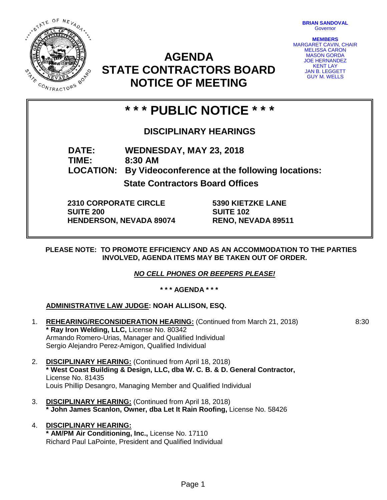STATE OF NEVADA **MARIS** oy Aye CONTRACTORS

**BRIAN SANDOVAL Governor** 

**MEMBERS** MARGARET CAVIN, CHAIR MELISSA CARON MASON GORDA JOE HERNANDEZ KENT LAY **JAN B. LEGGETT** GUY M. WELLS

8:30

# **AGENDA STATE CONTRACTORS BOARD NOTICE OF MEETING**

# **\* \* \* PUBLIC NOTICE \* \* \***

### **DISCIPLINARY HEARINGS**

**DATE: WEDNESDAY, MAY 23, 2018 TIME: 8:30 AM LOCATION: By Videoconference at the following locations: State Contractors Board Offices**

**2310 CORPORATE CIRCLE SUITE 200 HENDERSON, NEVADA 89074**

**5390 KIETZKE LANE SUITE 102 RENO, NEVADA 89511**

**PLEASE NOTE: TO PROMOTE EFFICIENCY AND AS AN ACCOMMODATION TO THE PARTIES INVOLVED, AGENDA ITEMS MAY BE TAKEN OUT OF ORDER.**

*NO CELL PHONES OR BEEPERS PLEASE!* 

**\* \* \* AGENDA \* \* \***

**ADMINISTRATIVE LAW JUDGE: NOAH ALLISON, ESQ.**

- 1. **REHEARING/RECONSIDERATION HEARING:** (Continued from March 21, 2018) **\* Ray Iron Welding, LLC,** License No. 80342 Armando Romero-Urias, Manager and Qualified Individual Sergio Alejandro Perez-Amigon, Qualified Individual
- 2. **DISCIPLINARY HEARING:** (Continued from April 18, 2018) **\* West Coast Building & Design, LLC, dba W. C. B. & D. General Contractor,**  License No. 81435 Louis Phillip Desangro, Managing Member and Qualified Individual
- 3. **DISCIPLINARY HEARING:** (Continued from April 18, 2018) **\* John James Scanlon, Owner, dba Let It Rain Roofing,** License No. 58426
- 4. **DISCIPLINARY HEARING: \* AM/PM Air Conditioning, Inc.,** License No. 17110 Richard Paul LaPointe, President and Qualified Individual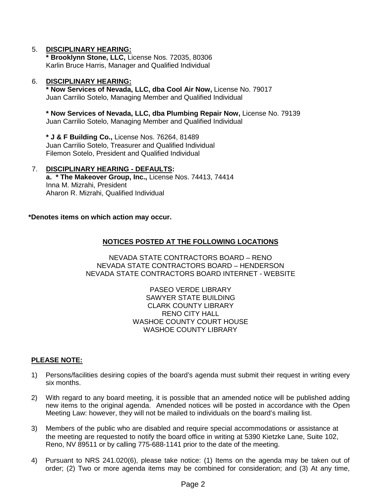#### 5. **DISCIPLINARY HEARING:**

**\* Brooklynn Stone, LLC,** License Nos. 72035, 80306 Karlin Bruce Harris, Manager and Qualified Individual

#### 6. **DISCIPLINARY HEARING:**

**\* Now Services of Nevada, LLC, dba Cool Air Now,** License No. 79017 Juan Carrilio Sotelo, Managing Member and Qualified Individual

**\* Now Services of Nevada, LLC, dba Plumbing Repair Now,** License No. 79139 Juan Carrilio Sotelo, Managing Member and Qualified Individual

**\* J & F Building Co.,** License Nos. 76264, 81489 Juan Carrilio Sotelo, Treasurer and Qualified Individual Filemon Sotelo, President and Qualified Individual

#### 7. **DISCIPLINARY HEARING - DEFAULTS: a. \* The Makeover Group, Inc.,** License Nos. 74413, 74414 Inna M. Mizrahi, President Aharon R. Mizrahi, Qualified Individual

**\*Denotes items on which action may occur.**

### **NOTICES POSTED AT THE FOLLOWING LOCATIONS**

NEVADA STATE CONTRACTORS BOARD – RENO NEVADA STATE CONTRACTORS BOARD – HENDERSON NEVADA STATE CONTRACTORS BOARD INTERNET - WEBSITE

> PASEO VERDE LIBRARY SAWYER STATE BUILDING CLARK COUNTY LIBRARY RENO CITY HALL WASHOE COUNTY COURT HOUSE WASHOE COUNTY LIBRARY

#### **PLEASE NOTE:**

- 1) Persons/facilities desiring copies of the board's agenda must submit their request in writing every six months.
- 2) With regard to any board meeting, it is possible that an amended notice will be published adding new items to the original agenda. Amended notices will be posted in accordance with the Open Meeting Law: however, they will not be mailed to individuals on the board's mailing list.
- 3) Members of the public who are disabled and require special accommodations or assistance at the meeting are requested to notify the board office in writing at 5390 Kietzke Lane, Suite 102, Reno, NV 89511 or by calling 775-688-1141 prior to the date of the meeting.
- 4) Pursuant to NRS 241.020(6), please take notice: (1) Items on the agenda may be taken out of order; (2) Two or more agenda items may be combined for consideration; and (3) At any time,